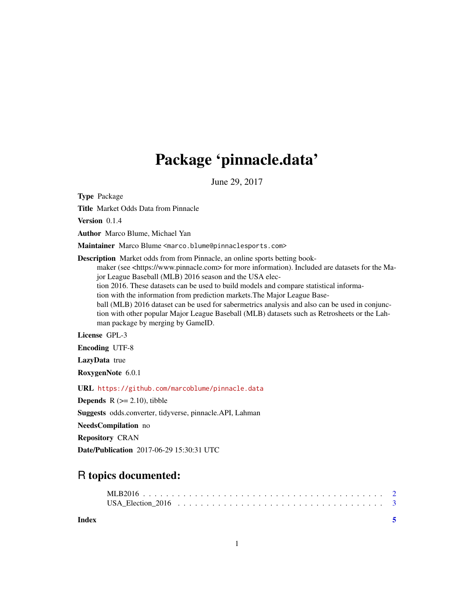## Package 'pinnacle.data'

June 29, 2017

Type Package

Title Market Odds Data from Pinnacle

Version 0.1.4

Author Marco Blume, Michael Yan

Maintainer Marco Blume <marco.blume@pinnaclesports.com>

Description Market odds from from Pinnacle, an online sports betting book-

maker (see <https://www.pinnacle.com> for more information). Included are datasets for the Major League Baseball (MLB) 2016 season and the USA elec-

tion 2016. These datasets can be used to build models and compare statistical informa-

tion with the information from prediction markets.The Major League Base-

ball (MLB) 2016 dataset can be used for sabermetrics analysis and also can be used in conjunction with other popular Major League Baseball (MLB) datasets such as Retrosheets or the Lahman package by merging by GameID.

License GPL-3

Encoding UTF-8

LazyData true

RoxygenNote 6.0.1

URL <https://github.com/marcoblume/pinnacle.data>

**Depends**  $R$  ( $>= 2.10$ ), tibble

Suggests odds.converter, tidyverse, pinnacle.API, Lahman

NeedsCompilation no

Repository CRAN

Date/Publication 2017-06-29 15:30:31 UTC

### R topics documented:

**Index** [5](#page-4-0). The second state of the second state of the second state of the second state of the second state of the second state of the second state of the second state of the second state of the second state of the second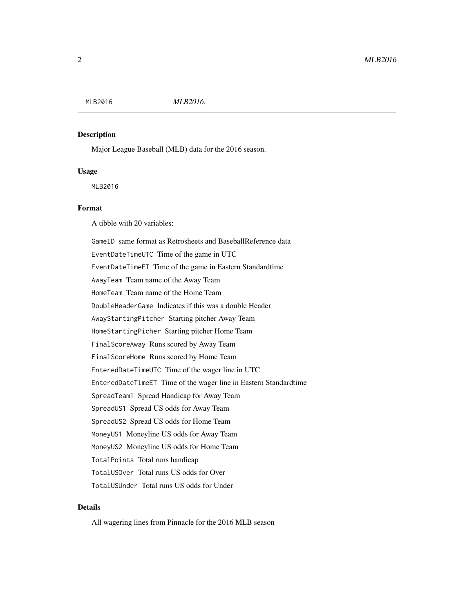<span id="page-1-0"></span>

#### Description

Major League Baseball (MLB) data for the 2016 season.

#### Usage

MLB2016

#### Format

A tibble with 20 variables:

GameID same format as Retrosheets and BaseballReference data EventDateTimeUTC Time of the game in UTC EventDateTimeET Time of the game in Eastern Standardtime AwayTeam Team name of the Away Team HomeTeam Team name of the Home Team DoubleHeaderGame Indicates if this was a double Header AwayStartingPitcher Starting pitcher Away Team HomeStartingPicher Starting pitcher Home Team FinalScoreAway Runs scored by Away Team FinalScoreHome Runs scored by Home Team EnteredDateTimeUTC Time of the wager line in UTC EnteredDateTimeET Time of the wager line in Eastern Standardtime SpreadTeam1 Spread Handicap for Away Team SpreadUS1 Spread US odds for Away Team SpreadUS2 Spread US odds for Home Team MoneyUS1 Moneyline US odds for Away Team MoneyUS2 Moneyline US odds for Home Team TotalPoints Total runs handicap TotalUSOver Total runs US odds for Over TotalUSUnder Total runs US odds for Under

#### Details

All wagering lines from Pinnacle for the 2016 MLB season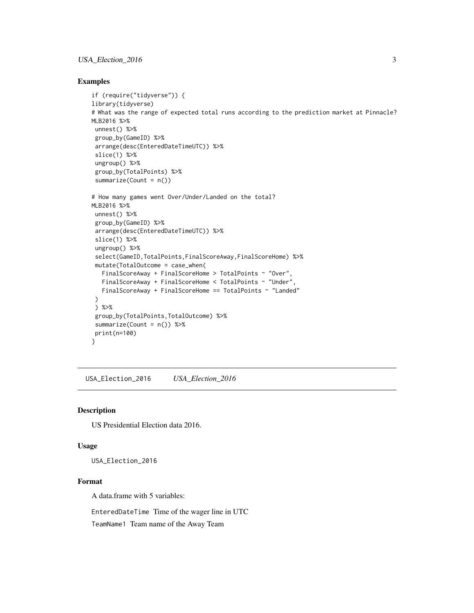#### <span id="page-2-0"></span>USA\_Election\_2016 3

#### Examples

```
if (require("tidyverse")) {
library(tidyverse)
# What was the range of expected total runs according to the prediction market at Pinnacle?
MLB2016 %>%
 unnest() %>%
 group_by(GameID) %>%
 arrange(desc(EnteredDateTimeUTC)) %>%
 slice(1) %>%
 ungroup() %>%
 group_by(TotalPoints) %>%
 summarize(Count = n())
# How many games went Over/Under/Landed on the total?
MLB2016 %>%
unnest() %>%
 group_by(GameID) %>%
 arrange(desc(EnteredDateTimeUTC)) %>%
 slice(1) %>%
 ungroup() %>%
 select(GameID,TotalPoints,FinalScoreAway,FinalScoreHome) %>%
 mutate(TotalOutcome = case_when(
   FinalScoreAway + FinalScoreHome > TotalPoints ~ "Over",
   FinalScoreAway + FinalScoreHome < TotalPoints ~ "Under",
   FinalScoreAway + FinalScoreHome == TotalPoints ~ "Landed"
 )
 ) %>%
 group_by(TotalPoints,TotalOutcome) %>%
 summarize(Count = n()) %>%
 print(n=100)
}
```
USA\_Election\_2016 *USA\_Election\_2016*

#### Description

US Presidential Election data 2016.

#### Usage

USA\_Election\_2016

#### Format

A data.frame with 5 variables:

EnteredDateTime Time of the wager line in UTC

TeamName1 Team name of the Away Team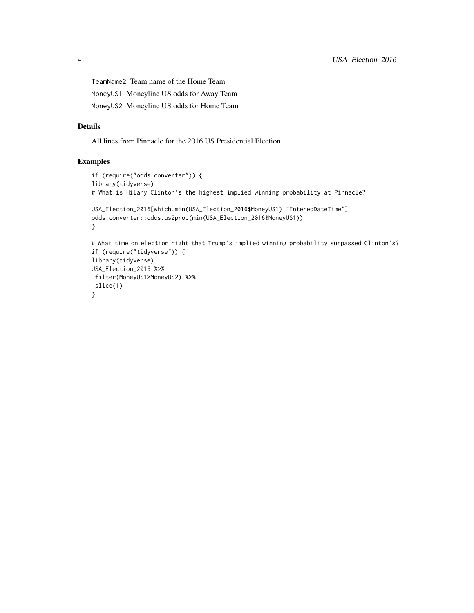TeamName2 Team name of the Home Team MoneyUS1 Moneyline US odds for Away Team MoneyUS2 Moneyline US odds for Home Team

#### Details

All lines from Pinnacle for the 2016 US Presidential Election

#### Examples

```
if (require("odds.converter")) {
library(tidyverse)
# What is Hilary Clinton's the highest implied winning probability at Pinnacle?
USA_Election_2016[which.min(USA_Election_2016$MoneyUS1),"EnteredDateTime"]
odds.converter::odds.us2prob(min(USA_Election_2016$MoneyUS1))
}
# What time on election night that Trump's implied winning probability surpassed Clinton's?
if (require("tidyverse")) {
library(tidyverse)
USA_Election_2016 %>%
filter(MoneyUS1>MoneyUS2) %>%
slice(1)
}
```